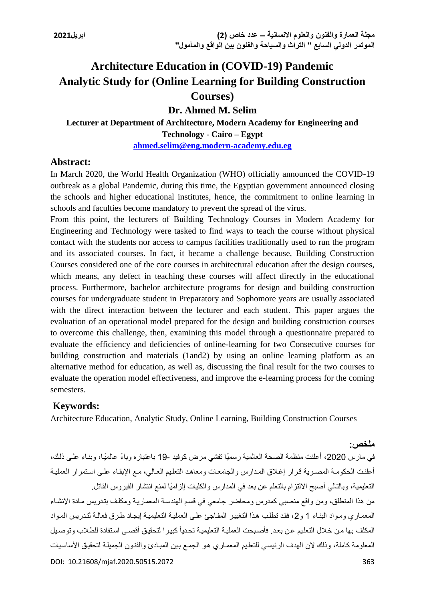# **Architecture Education in (COVID-19) Pandemic Analytic Study for (Online Learning for Building Construction Courses)**

**Dr. Ahmed M. Selim**

**Lecturer at Department of Architecture, Modern Academy for Engineering and** 

**Technology - Cairo – Egypt**

**ahmed.selim@eng.modern-academy.edu.eg**

#### **Abstract:**

In March 2020, the World Health Organization (WHO) officially announced the COVID-19 outbreak as a global Pandemic, during this time, the Egyptian government announced closing the schools and higher educational institutes, hence, the commitment to online learning in schools and faculties become mandatory to prevent the spread of the virus.

From this point, the lecturers of Building Technology Courses in Modern Academy for Engineering and Technology were tasked to find ways to teach the course without physical contact with the students nor access to campus facilities traditionally used to run the program and its associated courses. In fact, it became a challenge because, Building Construction Courses considered one of the core courses in architectural education after the design courses, which means, any defect in teaching these courses will affect directly in the educational process. Furthermore, bachelor architecture programs for design and building construction courses for undergraduate student in Preparatory and Sophomore years are usually associated with the direct interaction between the lecturer and each student. This paper argues the evaluation of an operational model prepared for the design and building construction courses to overcome this challenge, then, examining this model through a questionnaire prepared to evaluate the efficiency and deficiencies of online-learning for two Consecutive courses for building construction and materials (1and2) by using an online learning platform as an alternative method for education, as well as, discussing the final result for the two courses to evaluate the operation model effectiveness, and improve the e-learning process for the coming semesters.

### **Keywords:**

Architecture Education, Analytic Study, Online Learning, Building Construction Courses

#### **ملخص:**

DOI: 10.21608/mjaf.2020.50515.2072 363 في مارس 2020، أعلنت منظمة الصحة العالمية رسميًا تفشي مرض كوفيد -19 باعتبار ه وباءً عالميًا، وبنـاء علـي ذلك، أعلنت الحكومة المصرية قرار إغلاق المدارس والجامعات ومعاهد التعليم العالي، مع الإبقاء على استمرار العملية التعليمية، وبالتالي أصبح الالتزام بالتعلم عن بعد في المدارس والكليات الزاميًا لمنع انتشار الفيروس القاتل. من هذا المنطلق، ومن واقع منصبي كمدرس ومحاضر جامعي في قسم الهندسة المعمارية ومكلف بتدريس مادة الإنشاء المعماري ومواد البناء 1 و2، فقد تطلب هذا التغيير المفاجئ على العملية التعليمية إيجاد طرق فعالـة لتدريس المواد المكلف بها من خلال التعليم عن بعد. فأصبحت العملية التعليمية تحدياً كبير ا لتحقيق أقصبي استفادة للطلاب وتوصيل المعلومة كاملة، وذلك لان الهدف الرئيسي للتعليم المعمـار ي هو الجمـع بـين المبـاديّ والفنـون الجميلـة لتحقيق الأساسيات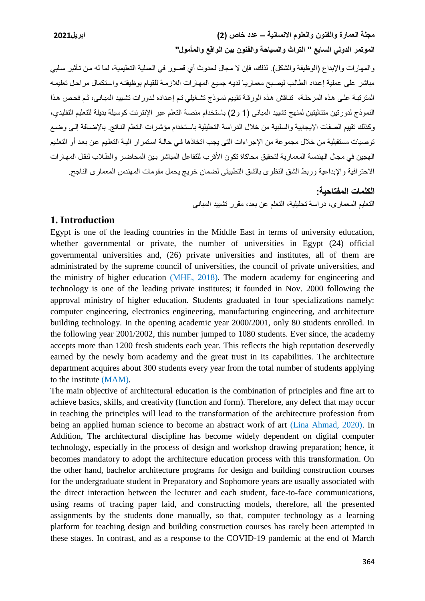والمهارات والإبداع (الوظيفة والشكل). لذلك، فإن لا مجال لحدوث أي قصور في العملية التعليمية، لما له من تـأثير سلبي مباشر على عملية إعداد الطالب ليصبح معماريا لديه جميع المهارات اللازمة للقيام بوظيفته واستكمال مراحل تعليمه المترتبـة علـى هذه المرحلـة، تنـاقش هذه الورقـة تقييم نمـوذج تشـغيلي تـم إعداده لدورات تشييد المبـاني، ثـم فحص هذا النموذج لدورتين متتاليتين لمنهج تشييد المباني (1 و2) باستخدام منصة التعلم عبر الإنترنت كوسيلة بديلة للتعليم التقليدي، وكذلك تقييم الصفات الإيجابية والسلبية من خلال الدراسة التحليلية باستخدام مؤشرات التعلم النـاتج. بالإضـافة إلـي وضـع توصيات مستقبلية من خلال مجموعة من الإجراءات التي يجب اتخاذها في حالـة استمرار اليـة التعليم عن بعد أو التعليم الهجين في مجال الهندسة المعمارية لتحقيق محاكاة تكون الأقرب للتفاعل المباشر بين المحاضر والطلاب لنقل المهارات الاحترافية والإبداعية وربط الشق النظرى بالشق التطبيقي لضمان خريج يحمل مقومات المهندس المعمارى الناجح.

**الكلمات المفتاحية:** 

التعليم المعمارى، در اسة تحليلية، التعلم عن بعد، مقرر تشييد المباني

#### **1. Introduction**

Egypt is one of the leading countries in the Middle East in terms of university education, whether governmental or private, the number of universities in Egypt (24) official governmental universities and, (26) private universities and institutes, all of them are administrated by the supreme council of universities, the council of private universities, and the ministry of higher education (MHE, 2018). The modern academy for engineering and technology is one of the leading private institutes; it founded in Nov. 2000 following the approval ministry of higher education. Students graduated in four specializations namely: computer engineering, electronics engineering, manufacturing engineering, and architecture building technology. In the opening academic year 2000/2001, only 80 students enrolled. In the following year 2001/2002, this number jumped to 1080 students. Ever since, the academy accepts more than 1200 fresh students each year. This reflects the high reputation deservedly earned by the newly born academy and the great trust in its capabilities. The architecture department acquires about 300 students every year from the total number of students applying to the institute (MAM).

The main objective of architectural education is the combination of principles and fine art to achieve basics, skills, and creativity (function and form). Therefore, any defect that may occur in teaching the principles will lead to the transformation of the architecture profession from being an applied human science to become an abstract work of art (Lina Ahmad, 2020). In Addition, The architectural discipline has become widely dependent on digital computer technology, especially in the process of design and workshop drawing preparation; hence, it becomes mandatory to adopt the architecture education process with this transformation. On the other hand, bachelor architecture programs for design and building construction courses for the undergraduate student in Preparatory and Sophomore years are usually associated with the direct interaction between the lecturer and each student, face-to-face communications, using reams of tracing paper laid, and constructing models, therefore, all the presented assignments by the students done manually, so that, computer technology as a learning platform for teaching design and building construction courses has rarely been attempted in these stages. In contrast, and as a response to the COVID-19 pandemic at the end of March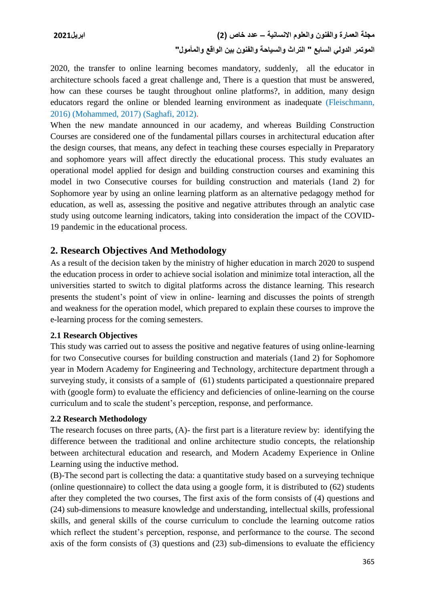2020, the transfer to online learning becomes mandatory, suddenly, all the educator in architecture schools faced a great challenge and, There is a question that must be answered, how can these courses be taught throughout online platforms?, in addition, many design educators regard the online or blended learning environment as inadequate (Fleischmann, 2016) (Mohammed, 2017) (Saghafi, 2012).

When the new mandate announced in our academy, and whereas Building Construction Courses are considered one of the fundamental pillars courses in architectural education after the design courses, that means, any defect in teaching these courses especially in Preparatory and sophomore years will affect directly the educational process. This study evaluates an operational model applied for design and building construction courses and examining this model in two Consecutive courses for building construction and materials (1and 2) for Sophomore year by using an online learning platform as an alternative pedagogy method for education, as well as, assessing the positive and negative attributes through an analytic case study using outcome learning indicators, taking into consideration the impact of the COVID-19 pandemic in the educational process.

# **2. Research Objectives And Methodology**

As a result of the decision taken by the ministry of higher education in march 2020 to suspend the education process in order to achieve social isolation and minimize total interaction, all the universities started to switch to digital platforms across the distance learning. This research presents the student's point of view in online- learning and discusses the points of strength and weakness for the operation model, which prepared to explain these courses to improve the e-learning process for the coming semesters.

#### **2.1 Research Objectives**

This study was carried out to assess the positive and negative features of using online-learning for two Consecutive courses for building construction and materials (1and 2) for Sophomore year in Modern Academy for Engineering and Technology, architecture department through a surveying study, it consists of a sample of (61) students participated a questionnaire prepared with (google form) to evaluate the efficiency and deficiencies of online-learning on the course curriculum and to scale the student's perception, response, and performance.

### **2.2 Research Methodology**

The research focuses on three parts, (A)- the first part is a literature review by: identifying the difference between the traditional and online architecture studio concepts, the relationship between architectural education and research, and Modern Academy Experience in Online Learning using the inductive method.

(B)-The second part is collecting the data: a quantitative study based on a surveying technique (online questionnaire) to collect the data using a google form, it is distributed to (62) students after they completed the two courses, The first axis of the form consists of (4) questions and (24) sub-dimensions to measure knowledge and understanding, intellectual skills, professional skills, and general skills of the course curriculum to conclude the learning outcome ratios which reflect the student's perception, response, and performance to the course. The second axis of the form consists of (3) questions and (23) sub-dimensions to evaluate the efficiency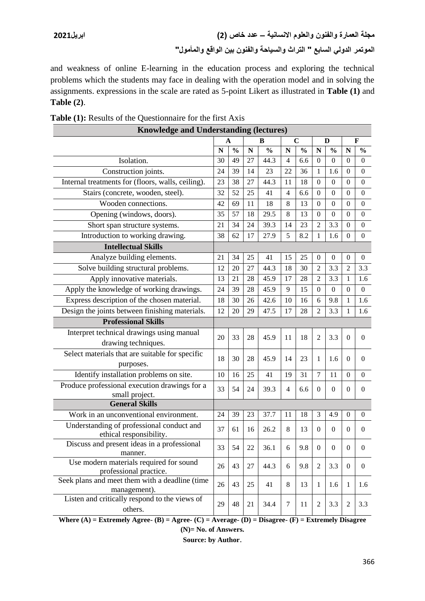and weakness of online E-learning in the education process and exploring the technical problems which the students may face in dealing with the operation model and in solving the assignments. expressions in the scale are rated as 5-point Likert as illustrated in **Table (1)** and **Table (2)**.

| <b>Knowledge and Understanding (lectures)</b>                          |        |               |             |               |    |               |                  |                  |                  |                  |
|------------------------------------------------------------------------|--------|---------------|-------------|---------------|----|---------------|------------------|------------------|------------------|------------------|
|                                                                        | В<br>A |               | $\mathbf C$ |               | D  |               | F                |                  |                  |                  |
|                                                                        | N      | $\frac{0}{0}$ | N           | $\frac{0}{0}$ | N  | $\frac{0}{0}$ | N                | $\frac{0}{0}$    | N                | $\frac{0}{0}$    |
| Isolation.                                                             | 30     | 49            | 27          | 44.3          | 4  | 6.6           | $\theta$         | 0                | $\theta$         | $\boldsymbol{0}$ |
| Construction joints.                                                   | 24     | 39            | 14          | 23            | 22 | 36            | 1                | 1.6              | $\theta$         | $\theta$         |
| Internal treatments for (floors, walls, ceiling).                      | 23     | 38            | 27          | 44.3          | 11 | 18            | $\Omega$         | 0                | 0                | $\theta$         |
| Stairs (concrete, wooden, steel).                                      | 32     | 52            | 25          | 41            | 4  | 6.6           | 0                | $\boldsymbol{0}$ | 0                | 0                |
| Wooden connections.                                                    | 42     | 69            | 11          | 18            | 8  | 13            | 0                | $\boldsymbol{0}$ | 0                | 0                |
| Opening (windows, doors).                                              | 35     | 57            | 18          | 29.5          | 8  | 13            | 0                | $\boldsymbol{0}$ | $\theta$         | $\theta$         |
| Short span structure systems.                                          | 21     | 34            | 24          | 39.3          | 14 | 23            | $\overline{2}$   | 3.3              | $\Omega$         | $\overline{0}$   |
| Introduction to working drawing.                                       | 38     | 62            | 17          | 27.9          | 5  | 8.2           | 1                | 1.6              | 0                | $\theta$         |
| <b>Intellectual Skills</b>                                             |        |               |             |               |    |               |                  |                  |                  |                  |
| Analyze building elements.                                             | 21     | 34            | 25          | 41            | 15 | 25            | $\boldsymbol{0}$ | $\mathbf{0}$     | $\boldsymbol{0}$ | $\overline{0}$   |
| Solve building structural problems.                                    | 12     | 20            | 27          | 44.3          | 18 | 30            | 2                | 3.3              | 2                | 3.3              |
| Apply innovative materials.                                            | 13     | 21            | 28          | 45.9          | 17 | 28            | 2                | 3.3              | 1                | 1.6              |
| Apply the knowledge of working drawings.                               | 24     | 39            | 28          | 45.9          | 9  | 15            | $\mathbf{0}$     | $\mathbf{0}$     | $\Omega$         | $\overline{0}$   |
| Express description of the chosen material.                            | 18     | 30            | 26          | 42.6          | 10 | 16            | 6                | 9.8              | 1                | 1.6              |
| Design the joints between finishing materials.                         |        | 20            | 29          | 47.5          | 17 | 28            | 2                | 3.3              | 1                | 1.6              |
| <b>Professional Skills</b>                                             |        |               |             |               |    |               |                  |                  |                  |                  |
| Interpret technical drawings using manual                              | 20     | 33            | 28          | 45.9          | 11 | 18            | $\overline{2}$   | 3.3              | $\Omega$         | $\theta$         |
| drawing techniques.                                                    |        |               |             |               |    |               |                  |                  |                  |                  |
| Select materials that are suitable for specific                        | 18     | 30            | 28          | 45.9          | 14 | 23            | 1                | 1.6              | $\Omega$         | $\Omega$         |
| purposes.                                                              |        |               |             |               |    |               |                  |                  |                  |                  |
| Identify installation problems on site.                                | 10     | 16            | 25          | 41            | 19 | 31            | 7                | 11               | $\Omega$         | 0                |
| Produce professional execution drawings for a                          | 33     | 54            | 24          | 39.3          | 4  | 6.6           | $\overline{0}$   | $\mathbf{0}$     | $\theta$         | $\overline{0}$   |
| small project.                                                         |        |               |             |               |    |               |                  |                  |                  |                  |
| <b>General Skills</b>                                                  |        |               |             |               |    |               |                  |                  |                  |                  |
| Work in an unconventional environment.                                 | 24     | 39            | 23          | 37.7          | 11 | 18            | 3                | 4.9              | $\theta$         | $\boldsymbol{0}$ |
| Understanding of professional conduct and                              | 37     | 61            | 16          | 26.2          | 8  | 13            | $\mathbf{0}$     | $\mathbf{0}$     | $\Omega$         | $\Omega$         |
| ethical responsibility.<br>Discuss and present ideas in a professional |        |               |             |               |    |               |                  |                  |                  |                  |
| manner.                                                                | 33     | 54            | $22\,$      | 36.1          | 6  | 9.8           | $\boldsymbol{0}$ | $\boldsymbol{0}$ | $\mathbf{0}$     | $\boldsymbol{0}$ |
| Use modern materials required for sound                                |        |               |             | 44.3          |    | 9.8           | $\mathfrak{2}$   | 3.3              | $\theta$         |                  |
| professional practice.                                                 | 26     | 43            | 27          |               | 6  |               |                  |                  |                  | $\boldsymbol{0}$ |
| Seek plans and meet them with a deadline (time                         | 26     | 43            | 25          | 41            | 8  | 13            | 1                | 1.6              | 1                | 1.6              |
| management).                                                           |        |               |             |               |    |               |                  |                  |                  |                  |
| Listen and critically respond to the views of                          | 29     | 48            | 21          | 34.4          | 7  | 11            | $\overline{c}$   | 3.3              | 2                | 3.3              |
| others.                                                                |        |               |             |               |    |               |                  |                  |                  |                  |

**Where (A) = Extremely Agree- (B) = Agree- (C) = Average- (D) = Disagree- (F) = Extremely Disagree (N)= No. of Answers.**

**Source: by Author**.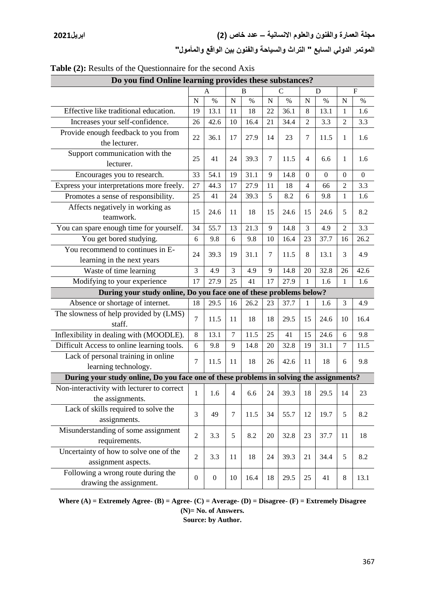| Do you find Online learning provides these substances?                                  |                  |                  |                  |            |             |           |                |          |                  |          |
|-----------------------------------------------------------------------------------------|------------------|------------------|------------------|------------|-------------|-----------|----------------|----------|------------------|----------|
|                                                                                         | A<br>B           |                  |                  |            | C           |           | D              |          | ${\bf F}$        |          |
|                                                                                         | $\mathbf N$      | $\%$             | $\overline{N}$   | $\%$       | $\mathbf N$ | $\%$      | $\mathbf N$    | $\%$     | $\mathbf N$      | $\%$     |
| Effective like traditional education.                                                   | 19               | 13.1             | 11               | 18         | 22          | 36.1      | 8              | 13.1     | $\mathbf{1}$     | 1.6      |
| Increases your self-confidence.                                                         | 26               | 42.6             | 10               | 16.4       | 21          | 34.4      | $\overline{2}$ | 3.3      | $\overline{2}$   | 3.3      |
| Provide enough feedback to you from                                                     | 22               | 36.1             | 17               | 27.9       | 14          | 23        | $\tau$         | 11.5     | 1                | 1.6      |
| the lecturer.                                                                           |                  |                  |                  |            |             |           |                |          |                  |          |
| Support communication with the                                                          | 25               | 41               | 24               | 39.3       | 7           | 11.5      | $\overline{4}$ | 6.6      | 1                | 1.6      |
| lecturer.                                                                               |                  |                  |                  |            |             |           |                |          |                  |          |
| Encourages you to research.                                                             | 33               | 54.1             | 19               | 31.1       | 9           | 14.8      | $\Omega$       | $\Omega$ | $\boldsymbol{0}$ | $\Omega$ |
| Express your interpretations more freely.                                               | 27               | 44.3             | 17               | 27.9       | 11          | 18        | $\overline{4}$ | 66       | $\overline{c}$   | 3.3      |
| Promotes a sense of responsibility.                                                     | 25               | 41               | 24               | 39.3       | 5           | 8.2       | 6              | 9.8      | 1                | 1.6      |
| Affects negatively in working as                                                        |                  |                  |                  |            |             |           |                |          |                  |          |
| teamwork.                                                                               | 15               | 24.6             | 11               | 18         | 15          | 24.6      | 15             | 24.6     | 5                | 8.2      |
| You can spare enough time for yourself.                                                 | 34               | 55.7             | 13               | 21.3       | 9           | 14.8      | 3              | 4.9      | $\mathfrak{2}$   | 3.3      |
| You get bored studying.                                                                 | 6                | 9.8              | 6                | 9.8        | 10          | 16.4      | 23             | 37.7     | 16               | 26.2     |
| You recommend to continues in E-                                                        | 24               |                  |                  |            |             |           |                |          |                  |          |
| learning in the next years                                                              |                  | 39.3             | 19               | 31.1       | 7           | 11.5      | 8              | 13.1     | 3                | 4.9      |
| Waste of time learning                                                                  | 3                | 4.9              | 3                | 4.9        | 9           | 14.8      | 20             | 32.8     | 26               | 42.6     |
| Modifying to your experience                                                            | 17               | 27.9             | 25               | 41         | 17          | 27.9      | $\mathbf{1}$   | 1.6      | $\mathbf{1}$     | 1.6      |
| During your study online, Do you face one of these problems below?                      |                  |                  |                  |            |             |           |                |          |                  |          |
| Absence or shortage of internet.                                                        | 18               | 29.5             | 16               | 26.2       | 23          | 37.7      | $\mathbf{1}$   | 1.6      | 3                | 4.9      |
| The slowness of help provided by (LMS)                                                  | $\overline{7}$   | 11.5             | 11               | 18         | 18          | 29.5      | 15             | 24.6     | 10               | 16.4     |
| staff.                                                                                  |                  |                  |                  |            |             |           |                |          |                  |          |
| Inflexibility in dealing with (MOODLE).                                                 | 8                | 13.1             | $\boldsymbol{7}$ | 11.5       | 25          | 41        | 15             | 24.6     | 6                | 9.8      |
| Difficult Access to online learning tools.                                              | 6                | 9.8              | 9                | 14.8       | 20          | 32.8      | 19             | 31.1     | $\boldsymbol{7}$ | 11.5     |
| Lack of personal training in online                                                     | 7                |                  |                  |            |             |           |                |          |                  |          |
| learning technology.                                                                    |                  | 11.5             | 11               | 18         | 26          | 42.6      | 11             | 18       | 6                | 9.8      |
| During your study online, Do you face one of these problems in solving the assignments? |                  |                  |                  |            |             |           |                |          |                  |          |
| Non-interactivity with lecturer to correct                                              |                  |                  |                  |            |             |           |                | 29.5     |                  |          |
| the assignments.                                                                        | $\mathbf{1}$     | 1.6              | $\overline{4}$   | $6.6$   24 |             | $39.3$ 18 |                |          | 14               | 23       |
| Lack of skills required to solve the                                                    |                  |                  |                  |            |             |           |                |          |                  |          |
| assignments.                                                                            | 3                | 49               | $\boldsymbol{7}$ | 11.5       | 34          | 55.7      | 12             | 19.7     | 5                | 8.2      |
| Misunderstanding of some assignment                                                     |                  |                  |                  |            |             |           |                |          |                  |          |
| requirements.                                                                           | $\overline{c}$   | 3.3              | 5                | 8.2        | 20          | 32.8      | 23             | 37.7     | 11               | 18       |
| Uncertainty of how to solve one of the                                                  |                  |                  |                  |            |             |           |                |          |                  |          |
| assignment aspects.                                                                     | $\overline{c}$   | 3.3              | 11               | 18         | 24          | 39.3      | 21             | 34.4     | 5                | 8.2      |
|                                                                                         |                  |                  |                  |            |             |           |                |          |                  |          |
| Following a wrong route during the                                                      | $\boldsymbol{0}$ | $\boldsymbol{0}$ | 10               | 16.4       | 18          | 29.5      | 25             | 41       | 8                | 13.1     |

| <b>Table (2):</b> Results of the Questionnaire for the second Axis |
|--------------------------------------------------------------------|
|--------------------------------------------------------------------|

**Where (A) = Extremely Agree- (B) = Agree- (C) = Average- (D) = Disagree- (F) = Extremely Disagree (N)= No. of Answers.**

**Source: by Author.**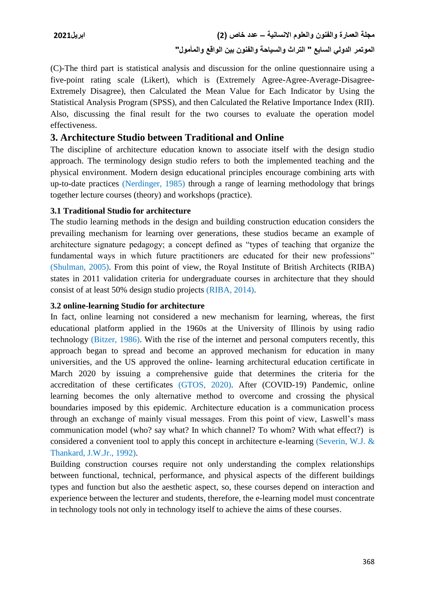(C)-The third part is statistical analysis and discussion for the online questionnaire using a five-point rating scale (Likert), which is (Extremely Agree-Agree-Average-Disagree-Extremely Disagree), then Calculated the Mean Value for Each Indicator by Using the Statistical Analysis Program (SPSS), and then Calculated the Relative Importance Index (RII). Also, discussing the final result for the two courses to evaluate the operation model effectiveness.

#### **3. Architecture Studio between Traditional and Online**

The discipline of architecture education known to associate itself with the design studio approach. The terminology design studio refers to both the implemented teaching and the physical environment. Modern design educational principles encourage combining arts with up-to-date practices (Nerdinger, 1985) through a range of learning methodology that brings together lecture courses (theory) and workshops (practice).

#### **3.1 Traditional Studio for architecture**

The studio learning methods in the design and building construction education considers the prevailing mechanism for learning over generations, these studios became an example of architecture signature pedagogy; a concept defined as "types of teaching that organize the fundamental ways in which future practitioners are educated for their new professions" (Shulman, 2005). From this point of view, the Royal Institute of British Architects (RIBA) states in 2011 validation criteria for undergraduate courses in architecture that they should consist of at least 50% design studio projects (RIBA, 2014).

#### **3.2 online-learning Studio for architecture**

In fact, online learning not considered a new mechanism for learning, whereas, the first educational platform applied in the 1960s at the University of Illinois by using radio technology (Bitzer, 1986). With the rise of the internet and personal computers recently, this approach began to spread and become an approved mechanism for education in many universities, and the US approved the online- learning architectural education certificate in March 2020 by issuing a comprehensive guide that determines the criteria for the accreditation of these certificates (GTOS, 2020). After (COVID-19) Pandemic, online learning becomes the only alternative method to overcome and crossing the physical boundaries imposed by this epidemic. Architecture education is a communication process through an exchange of mainly visual messages. From this point of view, Laswell's mass communication model (who? say what? In which channel? To whom? With what effect?) is considered a convenient tool to apply this concept in architecture e-learning (Severin, W.J. & Thankard, J.W.Jr., 1992).

Building construction courses require not only understanding the complex relationships between functional, technical, performance, and physical aspects of the different buildings types and function but also the aesthetic aspect, so, these courses depend on interaction and experience between the lecturer and students, therefore, the e-learning model must concentrate in technology tools not only in technology itself to achieve the aims of these courses.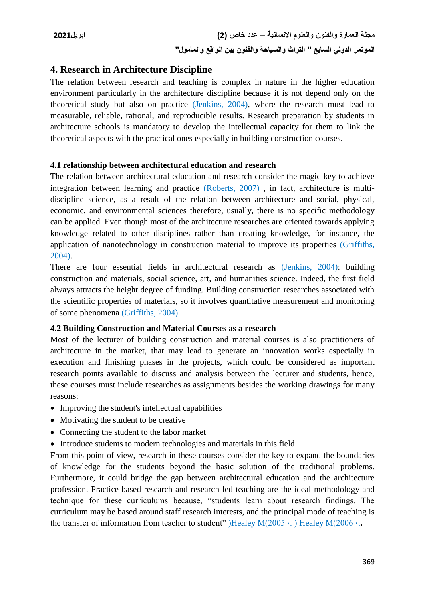## **4. Research in Architecture Discipline**

The relation between research and teaching is complex in nature in the higher education environment particularly in the architecture discipline because it is not depend only on the theoretical study but also on practice (Jenkins, 2004), where the research must lead to measurable, reliable, rational, and reproducible results. Research preparation by students in architecture schools is mandatory to develop the intellectual capacity for them to link the theoretical aspects with the practical ones especially in building construction courses.

#### **4.1 relationship between architectural education and research**

The relation between architectural education and research consider the magic key to achieve integration between learning and practice (Roberts, 2007) , in fact, architecture is multidiscipline science, as a result of the relation between architecture and social, physical, economic, and environmental sciences therefore, usually, there is no specific methodology can be applied. Even though most of the architecture researches are oriented towards applying knowledge related to other disciplines rather than creating knowledge, for instance, the application of nanotechnology in construction material to improve its properties (Griffiths, 2004).

There are four essential fields in architectural research as (Jenkins, 2004): building construction and materials, social science, art, and humanities science. Indeed, the first field always attracts the height degree of funding. Building construction researches associated with the scientific properties of materials, so it involves quantitative measurement and monitoring of some phenomena (Griffiths, 2004).

#### **4.2 Building Construction and Material Courses as a research**

Most of the lecturer of building construction and material courses is also practitioners of architecture in the market, that may lead to generate an innovation works especially in execution and finishing phases in the projects, which could be considered as important research points available to discuss and analysis between the lecturer and students, hence, these courses must include researches as assignments besides the working drawings for many reasons:

- Improving the student's intellectual capabilities
- Motivating the student to be creative
- Connecting the student to the labor market
- Introduce students to modern technologies and materials in this field

From this point of view, research in these courses consider the key to expand the boundaries of knowledge for the students beyond the basic solution of the traditional problems. Furthermore, it could bridge the gap between architectural education and the architecture profession. Practice-based research and research-led teaching are the ideal methodology and technique for these curriculums because, "students learn about research findings. The curriculum may be based around staff research interests, and the principal mode of teaching is the transfer of information from teacher to student" (Healey M(2005  $\cdot$ .) Healey M(2006  $\cdot$ .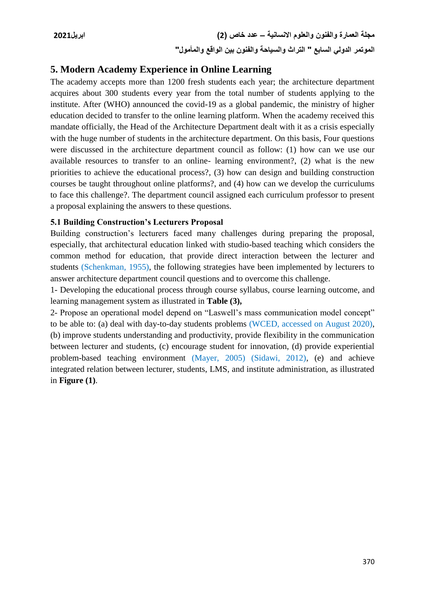# **5. Modern Academy Experience in Online Learning**

The academy accepts more than 1200 fresh students each year; the architecture department acquires about 300 students every year from the total number of students applying to the institute. After (WHO) announced the covid-19 as a global pandemic, the ministry of higher education decided to transfer to the online learning platform. When the academy received this mandate officially, the Head of the Architecture Department dealt with it as a crisis especially with the huge number of students in the architecture department. On this basis, Four questions were discussed in the architecture department council as follow: (1) how can we use our available resources to transfer to an online- learning environment?, (2) what is the new priorities to achieve the educational process?, (3) how can design and building construction courses be taught throughout online platforms?, and (4) how can we develop the curriculums to face this challenge?. The department council assigned each curriculum professor to present a proposal explaining the answers to these questions.

#### **5.1 Building Construction's Lecturers Proposal**

Building construction's lecturers faced many challenges during preparing the proposal, especially, that architectural education linked with studio-based teaching which considers the common method for education, that provide direct interaction between the lecturer and students (Schenkman, 1955), the following strategies have been implemented by lecturers to answer architecture department council questions and to overcome this challenge.

1- Developing the educational process through course syllabus, course learning outcome, and learning management system as illustrated in **Table (3),**

2- Propose an operational model depend on "Laswell's mass communication model concept" to be able to: (a) deal with day-to-day students problems (WCED, accessed on August 2020), (b) improve students understanding and productivity, provide flexibility in the communication between lecturer and students, (c) encourage student for innovation, (d) provide experiential problem-based teaching environment (Mayer, 2005) (Sidawi, 2012), (e) and achieve integrated relation between lecturer, students, LMS, and institute administration, as illustrated in **Figure (1)**.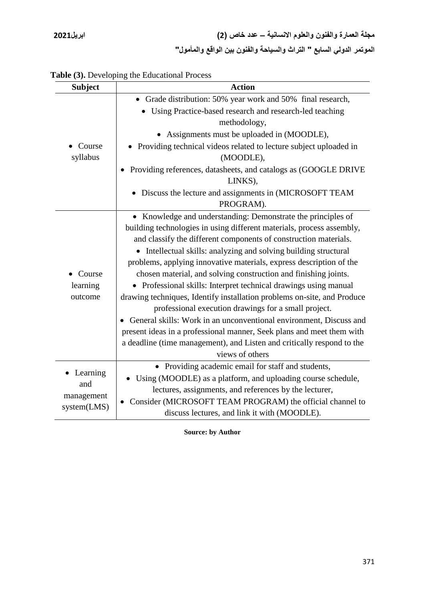| <b>Subject</b>        | <b>Action</b>                                                                |
|-----------------------|------------------------------------------------------------------------------|
|                       | Grade distribution: 50% year work and 50% final research,                    |
|                       | Using Practice-based research and research-led teaching                      |
|                       | methodology,                                                                 |
| Course<br>syllabus    | Assignments must be uploaded in (MOODLE),                                    |
|                       | • Providing technical videos related to lecture subject uploaded in          |
|                       | (MOODLE),                                                                    |
|                       | • Providing references, datasheets, and catalogs as (GOOGLE DRIVE<br>LINKS), |
|                       | • Discuss the lecture and assignments in (MICROSOFT TEAM<br>PROGRAM).        |
|                       | • Knowledge and understanding: Demonstrate the principles of                 |
|                       | building technologies in using different materials, process assembly,        |
|                       | and classify the different components of construction materials.             |
|                       | • Intellectual skills: analyzing and solving building structural             |
|                       | problems, applying innovative materials, express description of the          |
| Course                | chosen material, and solving construction and finishing joints.              |
| learning              | • Professional skills: Interpret technical drawings using manual             |
| outcome               | drawing techniques, Identify installation problems on-site, and Produce      |
|                       | professional execution drawings for a small project.                         |
|                       | General skills: Work in an unconventional environment, Discuss and           |
|                       | present ideas in a professional manner, Seek plans and meet them with        |
|                       | a deadline (time management), and Listen and critically respond to the       |
|                       | views of others                                                              |
| Learning<br>$\bullet$ | • Providing academic email for staff and students,                           |
| and                   | Using (MOODLE) as a platform, and uploading course schedule,                 |
| management            | lectures, assignments, and references by the lecturer,                       |
| system(LMS)           | Consider (MICROSOFT TEAM PROGRAM) the official channel to                    |
|                       | discuss lectures, and link it with (MOODLE).                                 |

**Table (3).** Developing the Educational Process

**Source: by Author**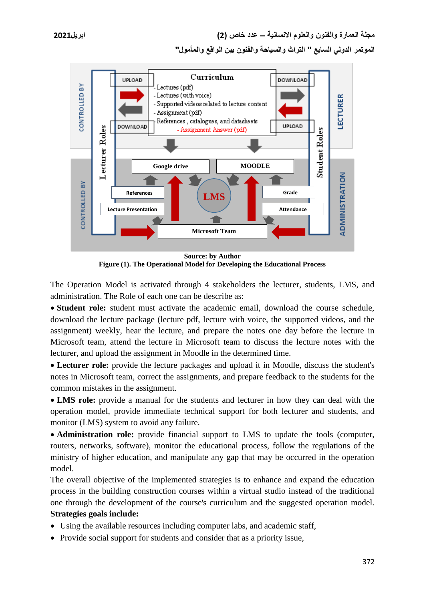

**Source: by Author Figure (1). The Operational Model for Developing the Educational Process**

The Operation Model is activated through 4 stakeholders the lecturer, students, LMS, and administration. The Role of each one can be describe as:

 **Student role:** student must activate the academic email, download the course schedule, download the lecture package (lecture pdf, lecture with voice, the supported videos, and the assignment) weekly, hear the lecture, and prepare the notes one day before the lecture in Microsoft team, attend the lecture in Microsoft team to discuss the lecture notes with the lecturer, and upload the assignment in Moodle in the determined time.

 **Lecturer role:** provide the lecture packages and upload it in Moodle, discuss the student's notes in Microsoft team, correct the assignments, and prepare feedback to the students for the common mistakes in the assignment.

 **LMS role:** provide a manual for the students and lecturer in how they can deal with the operation model, provide immediate technical support for both lecturer and students, and monitor (LMS) system to avoid any failure.

 **Administration role:** provide financial support to LMS to update the tools (computer, routers, networks, software), monitor the educational process, follow the regulations of the ministry of higher education, and manipulate any gap that may be occurred in the operation model.

The overall objective of the implemented strategies is to enhance and expand the education process in the building construction courses within a virtual studio instead of the traditional one through the development of the course's curriculum and the suggested operation model. **Strategies goals include:** 

- Using the available resources including computer labs, and academic staff,
- Provide social support for students and consider that as a priority issue,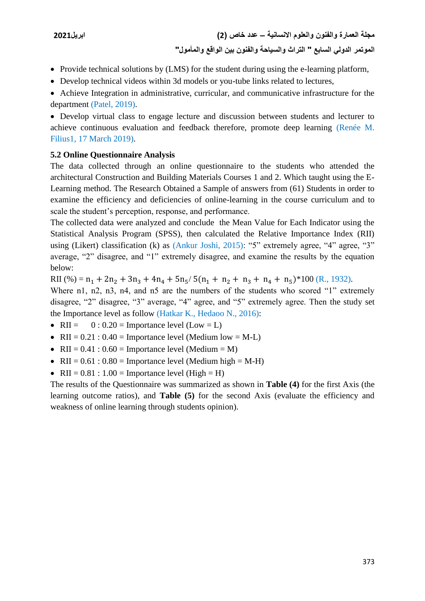- Provide technical solutions by (LMS) for the student during using the e-learning platform,
- Develop technical videos within 3d models or you-tube links related to lectures,

 Achieve Integration in administrative, curricular, and communicative infrastructure for the department (Patel, 2019).

 Develop virtual class to engage lecture and discussion between students and lecturer to achieve continuous evaluation and feedback therefore, promote deep learning (Renée M. Filius1, 17 March 2019).

# **5.2 Online Questionnaire Analysis**

The data collected through an online questionnaire to the students who attended the architectural Construction and Building Materials Courses 1 and 2. Which taught using the E-Learning method. The Research Obtained a Sample of answers from (61) Students in order to examine the efficiency and deficiencies of online-learning in the course curriculum and to scale the student's perception, response, and performance.

The collected data were analyzed and conclude the Mean Value for Each Indicator using the Statistical Analysis Program (SPSS), then calculated the Relative Importance Index (RII) using (Likert) classification (k) as (Ankur Joshi, 2015): "5" extremely agree, "4" agree, "3" average, "2" disagree, and "1" extremely disagree, and examine the results by the equation below:

RII (%) =  $n_1 + 2n_2 + 3n_3 + 4n_4 + 5n_5/5(n_1 + n_2 + n_3 + n_4 + n_5)*100 (R., 1932)$ .

Where n1, n2, n3, n4, and n5 are the numbers of the students who scored "1" extremely disagree, "2" disagree, "3" average, "4" agree, and "5" extremely agree. Then the study set the Importance level as follow (Hatkar K., Hedaoo N., 2016):

- $RII = 0$ : 0.20 = Importance level (Low = L)
- RII =  $0.21$ :  $0.40$  = Importance level (Medium low = M-L)
- RII =  $0.41$ :  $0.60$  = Importance level (Medium = M)
- RII =  $0.61 : 0.80 =$  Importance level (Medium high = M-H)
- $RII = 0.81 : 1.00 =$  Importance level (High = H)

The results of the Questionnaire was summarized as shown in **Table (4)** for the first Axis (the learning outcome ratios), and **Table (5)** for the second Axis (evaluate the efficiency and weakness of online learning through students opinion).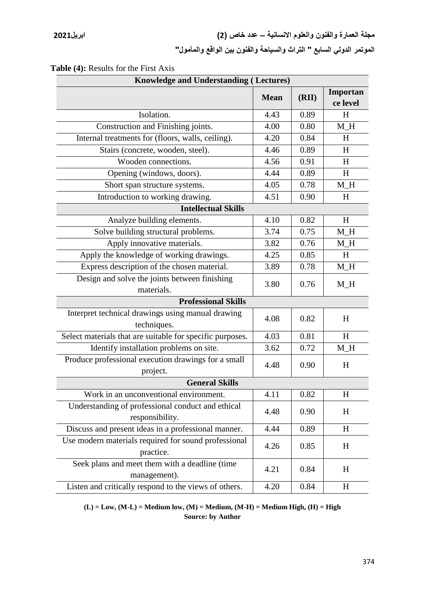| <b>Knowledge and Understanding (Lectures)</b>                        |             |       |                      |  |  |  |  |
|----------------------------------------------------------------------|-------------|-------|----------------------|--|--|--|--|
|                                                                      | <b>Mean</b> | (RII) | Importan<br>ce level |  |  |  |  |
| Isolation.                                                           | 4.43        | 0.89  | H                    |  |  |  |  |
| Construction and Finishing joints.                                   | 4.00        | 0.80  | $M$ H                |  |  |  |  |
| Internal treatments for (floors, walls, ceiling).                    | 4.20        | 0.84  | H                    |  |  |  |  |
| Stairs (concrete, wooden, steel).                                    | 4.46        | 0.89  | H                    |  |  |  |  |
| Wooden connections.                                                  | 4.56        | 0.91  | H                    |  |  |  |  |
| Opening (windows, doors).                                            | 4.44        | 0.89  | H                    |  |  |  |  |
| Short span structure systems.                                        | 4.05        | 0.78  | $M_H$                |  |  |  |  |
| Introduction to working drawing.                                     | 4.51        | 0.90  | H                    |  |  |  |  |
| <b>Intellectual Skills</b>                                           |             |       |                      |  |  |  |  |
| Analyze building elements.                                           | 4.10        | 0.82  | H                    |  |  |  |  |
| Solve building structural problems.                                  | 3.74        | 0.75  | $M_H$                |  |  |  |  |
| Apply innovative materials.                                          | 3.82        | 0.76  | M H                  |  |  |  |  |
| Apply the knowledge of working drawings.                             | 4.25        | 0.85  | H                    |  |  |  |  |
| Express description of the chosen material.                          | 3.89        | 0.78  | $M_H$                |  |  |  |  |
| Design and solve the joints between finishing<br>materials.          | 3.80        | 0.76  | $M_H$                |  |  |  |  |
| <b>Professional Skills</b>                                           |             |       |                      |  |  |  |  |
| Interpret technical drawings using manual drawing                    |             |       |                      |  |  |  |  |
| techniques.                                                          | 4.08        | 0.82  | H                    |  |  |  |  |
| Select materials that are suitable for specific purposes.            | 4.03        | 0.81  | H                    |  |  |  |  |
| Identify installation problems on site.                              | 3.62        | 0.72  | $M_H$                |  |  |  |  |
| Produce professional execution drawings for a small                  | 4.48        | 0.90  | H                    |  |  |  |  |
| project.                                                             |             |       |                      |  |  |  |  |
| <b>General Skills</b>                                                |             |       |                      |  |  |  |  |
| Work in an unconventional environment.                               | 4.11        | 0.82  | H                    |  |  |  |  |
| Understanding of professional conduct and ethical<br>responsibility. | 4.48        | 0.90  | H                    |  |  |  |  |
| Discuss and present ideas in a professional manner.                  | 4.44        | 0.89  | H                    |  |  |  |  |
| Use modern materials required for sound professional<br>practice.    | 4.26        | 0.85  | H                    |  |  |  |  |
| Seek plans and meet them with a deadline (time<br>management).       | 4.21        | 0.84  | H                    |  |  |  |  |
| Listen and critically respond to the views of others.                | 4.20        | 0.84  | H                    |  |  |  |  |

**Table (4):** Results for the First Axis

**(L) = Low, (M-L) = Medium low, (M) = Medium, (M-H) = Medium High, (H) = High Source: by Author**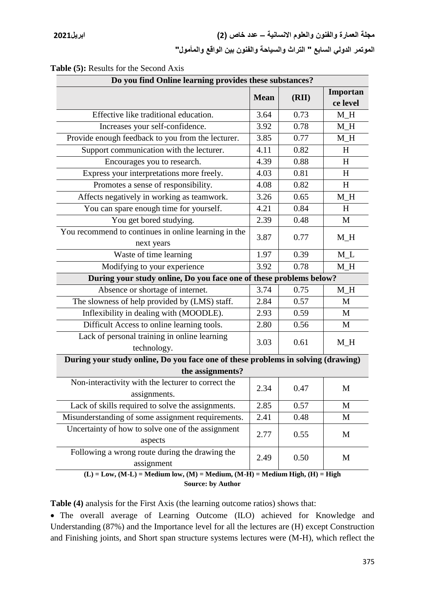| Do you find Online learning provides these substances?                           |             |       |                      |  |  |  |  |
|----------------------------------------------------------------------------------|-------------|-------|----------------------|--|--|--|--|
|                                                                                  | <b>Mean</b> | (RII) | Importan<br>ce level |  |  |  |  |
| Effective like traditional education.                                            | 3.64        | 0.73  | $M_H$                |  |  |  |  |
| Increases your self-confidence.                                                  | 3.92        | 0.78  | $M_H$                |  |  |  |  |
| Provide enough feedback to you from the lecturer.                                | 3.85        | 0.77  | $M_H$                |  |  |  |  |
| Support communication with the lecturer.                                         | 4.11        | 0.82  | H                    |  |  |  |  |
| Encourages you to research.                                                      | 4.39        | 0.88  | H                    |  |  |  |  |
| Express your interpretations more freely.                                        | 4.03        | 0.81  | H                    |  |  |  |  |
| Promotes a sense of responsibility.                                              | 4.08        | 0.82  | H                    |  |  |  |  |
| Affects negatively in working as teamwork.                                       | 3.26        | 0.65  | $M_H$                |  |  |  |  |
| You can spare enough time for yourself.                                          | 4.21        | 0.84  | H                    |  |  |  |  |
| You get bored studying.                                                          | 2.39        | 0.48  | M                    |  |  |  |  |
| You recommend to continues in online learning in the<br>next years               | 3.87        | 0.77  | $M_H$                |  |  |  |  |
| Waste of time learning                                                           | 1.97        | 0.39  | $M_L$                |  |  |  |  |
| Modifying to your experience                                                     | 3.92        | 0.78  | $M_H$                |  |  |  |  |
| During your study online, Do you face one of these problems below?               |             |       |                      |  |  |  |  |
| Absence or shortage of internet.                                                 | 3.74        | 0.75  | $M_H$                |  |  |  |  |
| The slowness of help provided by (LMS) staff.                                    | 2.84        | 0.57  | M                    |  |  |  |  |
| Inflexibility in dealing with (MOODLE).                                          | 2.93        | 0.59  | M                    |  |  |  |  |
| Difficult Access to online learning tools.                                       | 2.80        | 0.56  | M                    |  |  |  |  |
| Lack of personal training in online learning<br>technology.                      |             | 0.61  | $M_H$                |  |  |  |  |
| During your study online, Do you face one of these problems in solving (drawing) |             |       |                      |  |  |  |  |
| the assignments?                                                                 |             |       |                      |  |  |  |  |
| Non-interactivity with the lecturer to correct the<br>assignments.               | 2.34        | 0.47  | M                    |  |  |  |  |
| Lack of skills required to solve the assignments.                                | 2.85        | 0.57  | M                    |  |  |  |  |
| Misunderstanding of some assignment requirements.                                | 2.41        | 0.48  | M                    |  |  |  |  |
| Uncertainty of how to solve one of the assignment<br>aspects                     | 2.77        | 0.55  | M                    |  |  |  |  |
| Following a wrong route during the drawing the<br>assignment                     | 2.49        | 0.50  | M                    |  |  |  |  |
| $(L) = Low, (M-L) = Medium low, (M) = Medium, (M-H) = Medium High, (H) = High$   |             |       |                      |  |  |  |  |

|  |  |  |  |  | Table (5): Results for the Second Axis |  |
|--|--|--|--|--|----------------------------------------|--|
|--|--|--|--|--|----------------------------------------|--|

**Source: by Author**

**Table (4)** analysis for the First Axis (the learning outcome ratios) shows that:

 The overall average of Learning Outcome (ILO) achieved for Knowledge and Understanding (87%) and the Importance level for all the lectures are (H) except Construction and Finishing joints, and Short span structure systems lectures were (M-H), which reflect the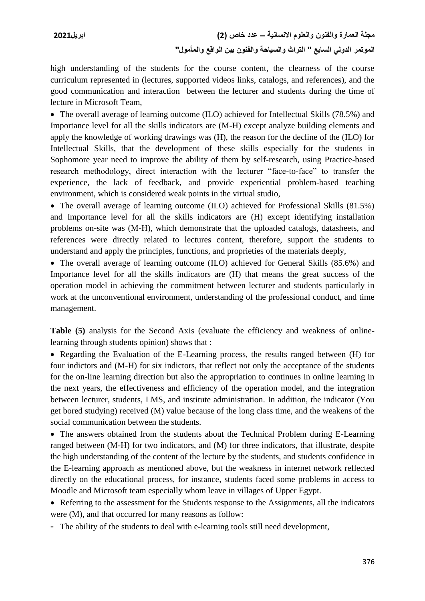high understanding of the students for the course content, the clearness of the course curriculum represented in (lectures, supported videos links, catalogs, and references), and the good communication and interaction between the lecturer and students during the time of lecture in Microsoft Team,

• The overall average of learning outcome (ILO) achieved for Intellectual Skills (78.5%) and Importance level for all the skills indicators are (M-H) except analyze building elements and apply the knowledge of working drawings was (H), the reason for the decline of the (ILO) for Intellectual Skills, that the development of these skills especially for the students in Sophomore year need to improve the ability of them by self-research, using Practice-based research methodology, direct interaction with the lecturer "face-to-face" to transfer the experience, the lack of feedback, and provide experiential problem-based teaching environment, which is considered weak points in the virtual studio,

• The overall average of learning outcome (ILO) achieved for Professional Skills (81.5%) and Importance level for all the skills indicators are (H) except identifying installation problems on-site was (M-H), which demonstrate that the uploaded catalogs, datasheets, and references were directly related to lectures content, therefore, support the students to understand and apply the principles, functions, and proprieties of the materials deeply,

• The overall average of learning outcome (ILO) achieved for General Skills (85.6%) and Importance level for all the skills indicators are (H) that means the great success of the operation model in achieving the commitment between lecturer and students particularly in work at the unconventional environment, understanding of the professional conduct, and time management.

**Table (5)** analysis for the Second Axis (evaluate the efficiency and weakness of onlinelearning through students opinion) shows that :

• Regarding the Evaluation of the E-Learning process, the results ranged between (H) for four indictors and (M-H) for six indictors, that reflect not only the acceptance of the students for the on-line learning direction but also the appropriation to continues in online learning in the next years, the effectiveness and efficiency of the operation model, and the integration between lecturer, students, LMS, and institute administration. In addition, the indicator (You get bored studying) received (M) value because of the long class time, and the weakens of the social communication between the students.

 The answers obtained from the students about the Technical Problem during E-Learning ranged between (M-H) for two indicators, and (M) for three indicators, that illustrate, despite the high understanding of the content of the lecture by the students, and students confidence in the E-learning approach as mentioned above, but the weakness in internet network reflected directly on the educational process, for instance, students faced some problems in access to Moodle and Microsoft team especially whom leave in villages of Upper Egypt.

• Referring to the assessment for the Students response to the Assignments, all the indicators were (M), and that occurred for many reasons as follow:

**-** The ability of the students to deal with e-learning tools still need development,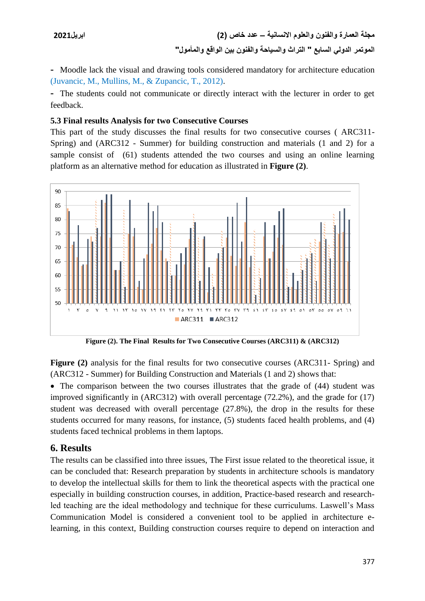**مجلة العمارة والفنون والعلوم االنسانية – عدد خاص )2( ابريل2021 الموتمر الدولي السابع " التراث والسياحة والفنون بين الواقع والمأمول"**

**-** Moodle lack the visual and drawing tools considered mandatory for architecture education (Juvancic, M., Mullins, M., & Zupancic, T., 2012).

**-** The students could not communicate or directly interact with the lecturer in order to get feedback.

#### **5.3 Final results Analysis for two Consecutive Courses**

This part of the study discusses the final results for two consecutive courses ( ARC311- Spring) and (ARC312 - Summer) for building construction and materials (1 and 2) for a sample consist of (61) students attended the two courses and using an online learning platform as an alternative method for education as illustrated in **Figure (2)**.



**Figure (2). The Final Results for Two Consecutive Courses (ARC311) & (ARC312)**

Figure (2) analysis for the final results for two consecutive courses (ARC311- Spring) and (ARC312 - Summer) for Building Construction and Materials (1 and 2) shows that:

• The comparison between the two courses illustrates that the grade of  $(44)$  student was improved significantly in (ARC312) with overall percentage (72.2%), and the grade for (17) student was decreased with overall percentage (27.8%), the drop in the results for these students occurred for many reasons, for instance, (5) students faced health problems, and (4) students faced technical problems in them laptops.

### **6. Results**

The results can be classified into three issues, The First issue related to the theoretical issue, it can be concluded that: Research preparation by students in architecture schools is mandatory to develop the intellectual skills for them to link the theoretical aspects with the practical one especially in building construction courses, in addition, Practice-based research and researchled teaching are the ideal methodology and technique for these curriculums. Laswell's Mass Communication Model is considered a convenient tool to be applied in architecture elearning, in this context, Building construction courses require to depend on interaction and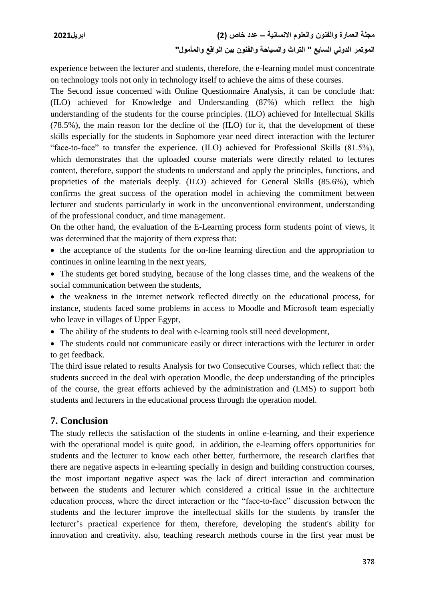experience between the lecturer and students, therefore, the e-learning model must concentrate on technology tools not only in technology itself to achieve the aims of these courses.

The Second issue concerned with Online Questionnaire Analysis, it can be conclude that: (ILO) achieved for Knowledge and Understanding (87%) which reflect the high understanding of the students for the course principles. (ILO) achieved for Intellectual Skills (78.5%), the main reason for the decline of the (ILO) for it, that the development of these skills especially for the students in Sophomore year need direct interaction with the lecturer "face-to-face" to transfer the experience. (ILO) achieved for Professional Skills (81.5%), which demonstrates that the uploaded course materials were directly related to lectures content, therefore, support the students to understand and apply the principles, functions, and proprieties of the materials deeply. (ILO) achieved for General Skills (85.6%), which confirms the great success of the operation model in achieving the commitment between lecturer and students particularly in work in the unconventional environment, understanding of the professional conduct, and time management.

On the other hand, the evaluation of the E-Learning process form students point of views, it was determined that the majority of them express that:

• the acceptance of the students for the on-line learning direction and the appropriation to continues in online learning in the next years,

 The students get bored studying, because of the long classes time, and the weakens of the social communication between the students,

• the weakness in the internet network reflected directly on the educational process, for instance, students faced some problems in access to Moodle and Microsoft team especially who leave in villages of Upper Egypt,

The ability of the students to deal with e-learning tools still need development,

 The students could not communicate easily or direct interactions with the lecturer in order to get feedback.

The third issue related to results Analysis for two Consecutive Courses, which reflect that: the students succeed in the deal with operation Moodle, the deep understanding of the principles of the course, the great efforts achieved by the administration and (LMS) to support both students and lecturers in the educational process through the operation model.

# **7. Conclusion**

The study reflects the satisfaction of the students in online e-learning, and their experience with the operational model is quite good, in addition, the e-learning offers opportunities for students and the lecturer to know each other better, furthermore, the research clarifies that there are negative aspects in e-learning specially in design and building construction courses, the most important negative aspect was the lack of direct interaction and commination between the students and lecturer which considered a critical issue in the architecture education process, where the direct interaction or the "face-to-face" discussion between the students and the lecturer improve the intellectual skills for the students by transfer the lecturer's practical experience for them, therefore, developing the student's ability for innovation and creativity. also, teaching research methods course in the first year must be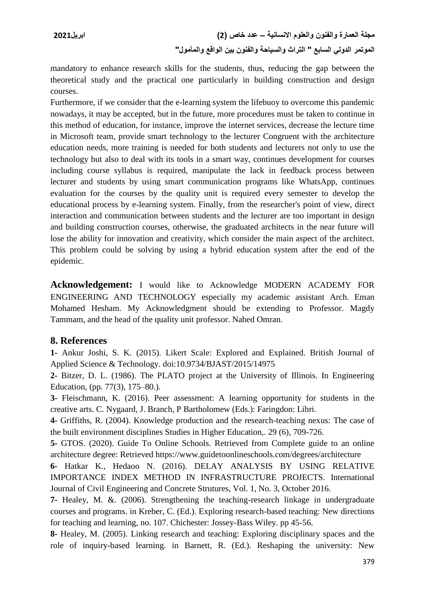mandatory to enhance research skills for the students, thus, reducing the gap between the theoretical study and the practical one particularly in building construction and design courses.

Furthermore, if we consider that the e-learning system the lifebuoy to overcome this pandemic nowadays, it may be accepted, but in the future, more procedures must be taken to continue in this method of education, for instance, improve the internet services, decrease the lecture time in Microsoft team, provide smart technology to the lecturer Congruent with the architecture education needs, more training is needed for both students and lecturers not only to use the technology but also to deal with its tools in a smart way, continues development for courses including course syllabus is required, manipulate the lack in feedback process between lecturer and students by using smart communication programs like WhatsApp, continues evaluation for the courses by the quality unit is required every semester to develop the educational process by e-learning system. Finally, from the researcher's point of view, direct interaction and communication between students and the lecturer are too important in design and building construction courses, otherwise, the graduated architects in the near future will lose the ability for innovation and creativity, which consider the main aspect of the architect. This problem could be solving by using a hybrid education system after the end of the epidemic.

**Acknowledgement:** I would like to Acknowledge MODERN ACADEMY FOR ENGINEERING AND TECHNOLOGY especially my academic assistant Arch. Eman Mohamed Hesham. My Acknowledgment should be extending to Professor. Magdy Tammam, and the head of the quality unit professor. Nahed Omran.

### **8. References**

**1-** Ankur Joshi, S. K. (2015). Likert Scale: Explored and Explained. British Journal of Applied Science & Technology. doi:10.9734/BJAST/2015/14975

**2-** Bitzer, D. L. (1986). The PLATO project at the University of Illinois. In Engineering Education, (pp. 77(3), 175–80.).

**3-** Fleischmann, K. (2016). Peer assessment: A learning opportunity for students in the creative arts. C. Nygaard, J. Branch, P Bartholomew (Eds.): Faringdon: Libri.

**4-** Griffiths, R. (2004). Knowledge production and the research-teaching nexus: The case of the built environment disciplines Studies in Higher Education,. 29 (6), 709-726.

**5-** GTOS. (2020). Guide To Online Schools. Retrieved from Complete guide to an online architecture degree: Retrieved https://www.guidetoonlineschools.com/degrees/architecture

**6-** Hatkar K., Hedaoo N. (2016). DELAY ANALYSIS BY USING RELATIVE IMPORTANCE INDEX METHOD IN INFRASTRUCTURE PROJECTS. International Journal of Civil Engineering and Concrete Strutures, Vol. 1, No. 3, October 2016.

**7-** Healey, M. &. (2006). Strengthening the teaching-research linkage in undergraduate courses and programs. in Kreber, C. (Ed.). Exploring research-based teaching: New directions for teaching and learning, no. 107. Chichester: Jossey-Bass Wiley. pp 45-56.

**8-** Healey, M. (2005). Linking research and teaching: Exploring disciplinary spaces and the role of inquiry-based learning. in Barnett, R. (Ed.). Reshaping the university: New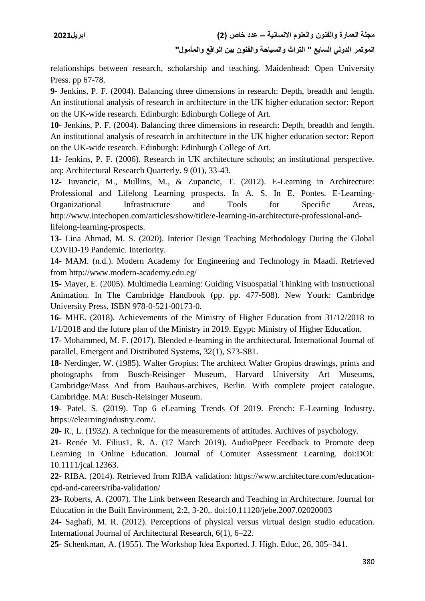relationships between research, scholarship and teaching. Maidenhead: Open University Press. pp 67-78.

**9-** Jenkins, P. F. (2004). Balancing three dimensions in research: Depth, breadth and length. An institutional analysis of research in architecture in the UK higher education sector: Report on the UK-wide research. Edinburgh: Edinburgh College of Art.

**10-** Jenkins, P. F. (2004). Balancing three dimensions in research: Depth, breadth and length. An institutional analysis of research in architecture in the UK higher education sector: Report on the UK-wide research. Edinburgh: Edinburgh College of Art.

**11-** Jenkins, P. F. (2006). Research in UK architecture schools; an institutional perspective. arq: Architectural Research Quarterly. 9 (01), 33-43.

**12-** Juvancic, M., Mullins, M., & Zupancic, T. (2012). E-Learning in Architecture: Professional and Lifelong Learning prospects. In A. S. In E. Pontes. E-Learning-Organizational Infrastructure and Tools for Specific Areas, http://www.intechopen.com/articles/show/title/e-learning-in-architecture-professional-andlifelong-learning-prospects.

**13-** Lina Ahmad, M. S. (2020). Interior Design Teaching Methodology During the Global COVID-19 Pandemic. Interiority.

**14-** MAM. (n.d.). Modern Academy for Engineering and Technology in Maadi. Retrieved from http://www.modern-academy.edu.eg/

**15-** Mayer, E. (2005). Multimedia Learning: Guiding Visuospatial Thinking with Instructional Animation. In The Cambridge Handbook (pp. pp. 477-508). New Yourk: Cambridge University Press, ISBN 978-0-521-00173-0.

**16-** MHE. (2018). Achievements of the Ministry of Higher Education from 31/12/2018 to 1/1/2018 and the future plan of the Ministry in 2019. Egypt: Ministry of Higher Education.

**17-** Mohammed, M. F. (2017). Blended e-learning in the architectural. International Journal of parallel, Emergent and Distributed Systems, 32(1), S73-S81.

**18-** Nerdinger, W. (1985). Walter Gropius: The architect Walter Gropius drawings, prints and photographs from Busch-Reisinger Museum, Harvard University Art Museums, Cambridge/Mass And from Bauhaus-archives, Berlin. With complete project catalogue. Cambridge. MA: Busch-Reisinger Museum.

**19-** Patel, S. (2019). Top 6 eLearning Trends Of 2019. French: E-Learning Industry. https://elearningindustry.com/.

**20-** R., L. (1932). A technique for the measurements of attitudes. Archives of psychology.

**21-** Renée M. Filius1, R. A. (17 March 2019). AudioPpeer Feedback to Promote deep Learning in Online Education. Journal of Comuter Assessment Learning. doi:DOI: 10.1111/jcal.12363.

**22-** RIBA. (2014). Retrieved from RIBA validation: https://www.architecture.com/educationcpd-and-careers/riba-validation/

**23-** Roberts, A. (2007). The Link between Research and Teaching in Architecture. Journal for Education in the Built Environment, 2:2, 3-20,. doi:10.11120/jebe.2007.02020003

**24-** Saghafi, M. R. (2012). Perceptions of physical versus virtual design studio education. International Journal of Architectural Research, 6(1), 6–22.

**25-** Schenkman, A. (1955). The Workshop Idea Exported. J. High. Educ, 26, 305–341.